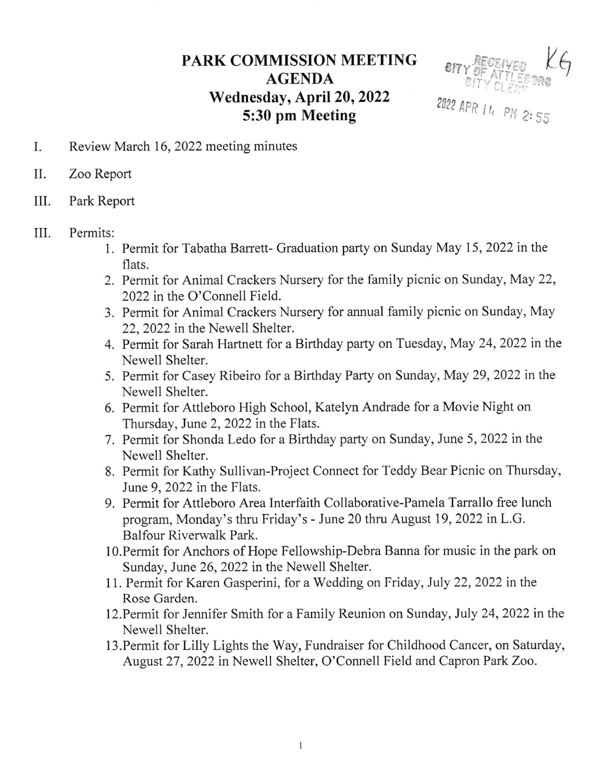## PARK COMMISSION MEETING AGENDA Wednesday, April 20, 2022 5:30 pm Meeting



- I. Review March 16, 2022 meeting minutes
- II. Zoo Report
- III. Park Report

## III. Permits:

- l. Permit for Tabatha Barrett- Graduation party on Sunday May 15, 2022 inthe flats.
- 2. Permit for Animal Crackers Nursery for the family picnic on Sunday, May 22, 2022 in the O'Connell Field.
- 3. Permit for Animal Crackers Nursery for annual family picnic on Sunday, May 22,2022 in the Newell Shelter.
- 4. Permit for Sarah Hartnett for a Birthday party on Tuesday, May 24, 2022 in the Newell Shelter.
- 5. Permit for Casey Ribeiro for a Birthday Party on Sunday, May 29,2022 inthe Newell Shelter.
- 6. Permit for Attleboro High School, Katelyn Andrade for a Movie Night on Thursday, June 2, 2022 in the Flats.
- 7. Permit for Shonda Ledo for a Birthday party on Sunday, June 5, 2022 inthe Newell Shelter.
- 8. Permit for Kathy Sullivan-Project Connect for Teddy Bear Picnic on Thursday, June 9, 2022 in the Flats.
- 9. Permit for Attleboro Area Interfaith Collaborative-Pamela Tarrallo free lunch program, Monday's thru Friday's - June 20 thru August 19,2022 in L.G. Balfour Riverwalk Park.
- l0.Permit for Anchors of Hope Fellowship-Debra Banna for music in the park on Sunday, June 26, 2022 in the Newell Shelter.
- <sup>1</sup>1. Permit for Karen Gasperini, for a Wedding on Friday, luly 22, 2022 in the Rose Garden.
- 12. Permit for Jennifer Smith for a Family Reunion on Sunday, July 24, 2022 in the Newell Shelter.
- 13.Permit for Lilly Lights the Way, Fundraiser for Childhood Cancer, on Saturday, August 27, 2022 in Newell Shelter, O'Connell Field and Capron Park Zoo.